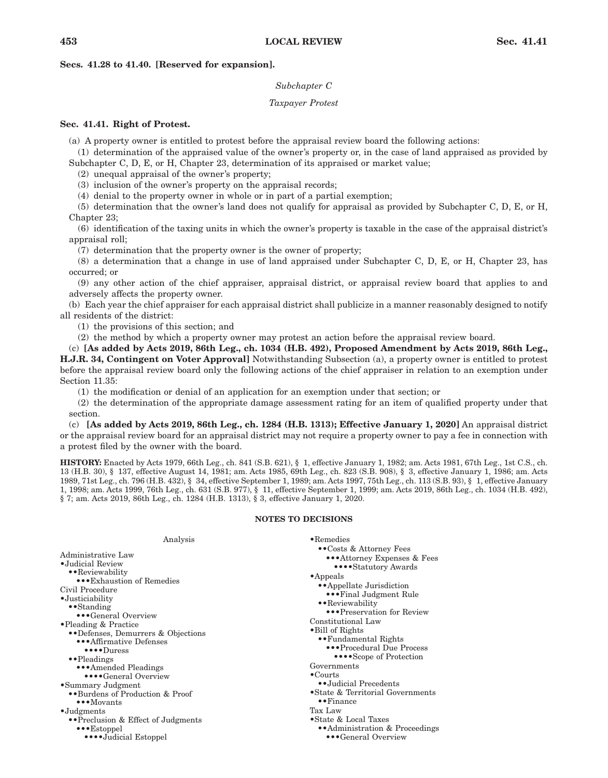# **Secs. 41.28 to 41.40. [Reserved for expansion].**

## *Subchapter C*

## *Taxpayer Protest*

# **Sec. 41.41. Right of Protest.**

(a) A property owner is entitled to protest before the appraisal review board the following actions:

(1) determination of the appraised value of the owner's property or, in the case of land appraised as provided by Subchapter C, D, E, or H, Chapter 23, determination of its appraised or market value;

(2) unequal appraisal of the owner's property;

(3) inclusion of the owner's property on the appraisal records;

(4) denial to the property owner in whole or in part of a partial exemption;

(5) determination that the owner's land does not qualify for appraisal as provided by Subchapter C, D, E, or H, Chapter 23;

(6) identification of the taxing units in which the owner's property is taxable in the case of the appraisal district's appraisal roll;

(7) determination that the property owner is the owner of property;

(8) a determination that a change in use of land appraised under Subchapter C, D, E, or H, Chapter 23, has occurred; or

(9) any other action of the chief appraiser, appraisal district, or appraisal review board that applies to and adversely affects the property owner.

(b) Each year the chief appraiser for each appraisal district shall publicize in a manner reasonably designed to notify all residents of the district:

(1) the provisions of this section; and

(2) the method by which a property owner may protest an action before the appraisal review board.

(c) **[As added by Acts 2019, 86th Leg., ch. 1034 (H.B. 492), Proposed Amendment by Acts 2019, 86th Leg., H.J.R. 34, Contingent on Voter Approval]** Notwithstanding Subsection (a), a property owner is entitled to protest before the appraisal review board only the following actions of the chief appraiser in relation to an exemption under Section 11.35:

(1) the modification or denial of an application for an exemption under that section; or

(2) the determination of the appropriate damage assessment rating for an item of qualified property under that section.

(c) **[As added by Acts 2019, 86th Leg., ch. 1284 (H.B. 1313); Effective January 1, 2020]** An appraisal district or the appraisal review board for an appraisal district may not require a property owner to pay a fee in connection with a protest filed by the owner with the board.

**HISTORY:** Enacted by Acts 1979, 66th Leg., ch. 841 (S.B. 621), § 1, effective January 1, 1982; am. Acts 1981, 67th Leg., 1st C.S., ch. 13 (H.B. 30), § 137, effective August 14, 1981; am. Acts 1985, 69th Leg., ch. 823 (S.B. 908), § 3, effective January 1, 1986; am. Acts 1989, 71st Leg., ch. 796 (H.B. 432), § 34, effective September 1, 1989; am. Acts 1997, 75th Leg., ch. 113 (S.B. 93), § 1, effective January 1, 1998; am. Acts 1999, 76th Leg., ch. 631 (S.B. 977), § 11, effective September 1, 1999; am. Acts 2019, 86th Leg., ch. 1034 (H.B. 492), § 7; am. Acts 2019, 86th Leg., ch. 1284 (H.B. 1313), § 3, effective January 1, 2020.

# **NOTES TO DECISIONS**

| Analysis                                 | $\bullet$ Remedies                |
|------------------------------------------|-----------------------------------|
| Administrative Law                       | •• Costs & Attorney Fees          |
| •Judicial Review                         | ••• Attorney Expenses & Fees      |
| • Reviewability                          | •••• Statutory Awards             |
| ••• Exhaustion of Remedies               | $\bullet$ Appeals                 |
| Civil Procedure                          | • Appellate Jurisdiction          |
| •Justiciability                          | •••Final Judgment Rule            |
| $\bullet$ Standing                       | •• Reviewability                  |
| ••• General Overview                     | •••Preservation for Review        |
| • Pleading & Practice                    | Constitutional Law                |
| •• Defenses, Demurrers & Objections      | • Bill of Rights                  |
| ••• Affirmative Defenses                 | •• Fundamental Rights             |
| $\bullet \bullet \bullet \bullet$ Duress | ••• Procedural Due Process        |
| ••Pleadings                              | •••• Scope of Protection          |
| ••• Amended Pleadings                    | Governments                       |
| ••••General Overview                     | $\bullet$ Courts                  |
| •Summary Judgment                        | ••Judicial Precedents             |
| •• Burdens of Production & Proof         | • State & Territorial Governments |
| $\bullet \bullet \bullet$ Movants        | $\bullet$ Finance                 |
| $\bullet$ Judgments                      | Tax Law                           |
| •• Preclusion & Effect of Judgments      | • State & Local Taxes             |
| $\bullet \bullet$ Estoppel               | • Administration & Proceedings    |
| ••••Judicial Estoppel                    | ••• General Overview              |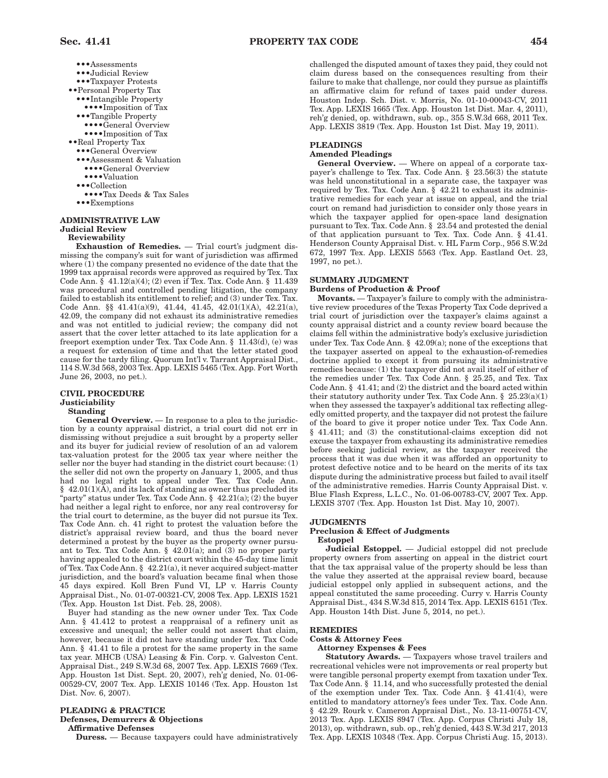•••Assessments •••Judicial Review •••Taxpayer Protests ••Personal Property Tax •••Intangible Property ••••Imposition of Tax •••Tangible Property ••••General Overview ••••Imposition of Tax ••Real Property Tax •••General Overview •••Assessment & Valuation ••••General Overview •••• Valuation •••Collection ••••Tax Deeds & Tax Sales ••• Exemptions

#### **ADMINISTRATIVE LAW Judicial Review Reviewability**

**Exhaustion of Remedies.** — Trial court's judgment dismissing the company's suit for want of jurisdiction was affirmed where (1) the company presented no evidence of the date that the 1999 tax appraisal records were approved as required by Tex. Tax Code Ann. § 41.12(a)(4); (2) even if Tex. Tax. Code Ann. § 11.439 was procedural and controlled pending litigation, the company failed to establish its entitlement to relief; and (3) under Tex. Tax. Code Ann. §§ 41.41(a)(9), 41.44, 41.45, 42.01(1)(A), 42.21(a), 42.09, the company did not exhaust its administrative remedies and was not entitled to judicial review; the company did not assert that the cover letter attached to its late application for a freeport exemption under Tex. Tax Code Ann. § 11.43(d), (e) was a request for extension of time and that the letter stated good cause for the tardy filing. Quorum Int'l v. Tarrant Appraisal Dist., 114 S.W.3d 568, 2003 Tex. App. LEXIS 5465 (Tex. App. Fort Worth June 26, 2003, no pet.).

#### **CIVIL PROCEDURE Justiciability Standing**

General Overview. — In response to a plea to the jurisdiction by a county appraisal district, a trial court did not err in dismissing without prejudice a suit brought by a property seller and its buyer for judicial review of resolution of an ad valorem tax-valuation protest for the 2005 tax year where neither the seller nor the buyer had standing in the district court because: (1) the seller did not own the property on January 1, 2005, and thus had no legal right to appeal under Tex. Tax Code Ann.  $§ 42.01(1)(A)$ , and its lack of standing as owner thus precluded its "party" status under Tex. Tax Code Ann.  $\S$  42.21(a); (2) the buyer had neither a legal right to enforce, nor any real controversy for the trial court to determine, as the buyer did not pursue its Tex. Tax Code Ann. ch. 41 right to protest the valuation before the district's appraisal review board, and thus the board never determined a protest by the buyer as the property owner pursuant to Tex. Tax Code Ann. § 42.01(a); and (3) no proper party having appealed to the district court within the 45-day time limit of Tex. Tax Code Ann. § 42.21(a), it never acquired subject-matter jurisdiction, and the board's valuation became final when those 45 days expired. Koll Bren Fund VI, LP v. Harris County Appraisal Dist., No. 01-07-00321-CV, 2008 Tex. App. LEXIS 1521 (Tex. App. Houston 1st Dist. Feb. 28, 2008).

Buyer had standing as the new owner under Tex. Tax Code Ann. § 41.412 to protest a reappraisal of a refinery unit as excessive and unequal; the seller could not assert that claim, however, because it did not have standing under Tex. Tax Code Ann. § 41.41 to file a protest for the same property in the same tax year. MHCB (USA) Leasing & Fin. Corp. v. Galveston Cent. Appraisal Dist., 249 S.W.3d 68, 2007 Tex. App. LEXIS 7669 (Tex. App. Houston 1st Dist. Sept. 20, 2007), reh'g denied, No. 01-06- 00529-CV, 2007 Tex. App. LEXIS 10146 (Tex. App. Houston 1st Dist. Nov. 6, 2007).

## **PLEADING & PRACTICE**

**Defenses, Demurrers & Objections**

**Affirmative Defenses**

**Duress.** — Because taxpayers could have administratively

challenged the disputed amount of taxes they paid, they could not claim duress based on the consequences resulting from their failure to make that challenge, nor could they pursue as plaintiffs an affirmative claim for refund of taxes paid under duress. Houston Indep. Sch. Dist. v. Morris, No. 01-10-00043-CV, 2011 Tex. App. LEXIS 1665 (Tex. App. Houston 1st Dist. Mar. 4, 2011), reh'g denied, op. withdrawn, sub. op., 355 S.W.3d 668, 2011 Tex. App. LEXIS 3819 (Tex. App. Houston 1st Dist. May 19, 2011).

# **PLEADINGS**

# **Amended Pleadings**

**General Overview.** — Where on appeal of a corporate taxpayer's challenge to Tex. Tax. Code Ann. § 23.56(3) the statute was held unconstitutional in a separate case, the taxpayer was required by Tex. Tax. Code Ann. § 42.21 to exhaust its administrative remedies for each year at issue on appeal, and the trial court on remand had jurisdiction to consider only those years in which the taxpayer applied for open-space land designation pursuant to Tex. Tax. Code Ann. § 23.54 and protested the denial of that application pursuant to Tex. Tax. Code Ann. § 41.41. Henderson County Appraisal Dist. v. HL Farm Corp., 956 S.W.2d 672, 1997 Tex. App. LEXIS 5563 (Tex. App. Eastland Oct. 23, 1997, no pet.).

## **SUMMARY JUDGMENT**

**Burdens of Production & Proof**

**Movants.** — Taxpayer's failure to comply with the administrative review procedures of the Texas Property Tax Code deprived a trial court of jurisdiction over the taxpayer's claims against a county appraisal district and a county review board because the claims fell within the administrative body's exclusive jurisdiction under Tex. Tax Code Ann.  $\S~$  42.09(a); none of the exceptions that the taxpayer asserted on appeal to the exhaustion-of-remedies doctrine applied to except it from pursuing its administrative remedies because: (1) the taxpayer did not avail itself of either of the remedies under Tex. Tax Code Ann. § 25.25, and Tex. Tax Code Ann. § 41.41; and (2) the district and the board acted within their statutory authority under Tex. Tax Code Ann.  $\S$  25.23(a)(1) when they assessed the taxpayer's additional tax reflecting allegedly omitted property, and the taxpayer did not protest the failure of the board to give it proper notice under Tex. Tax Code Ann. § 41.411; and (3) the constitutional-claims exception did not excuse the taxpayer from exhausting its administrative remedies before seeking judicial review, as the taxpayer received the process that it was due when it was afforded an opportunity to protest defective notice and to be heard on the merits of its tax dispute during the administrative process but failed to avail itself of the administrative remedies. Harris County Appraisal Dist. v. Blue Flash Express, L.L.C., No. 01-06-00783-CV, 2007 Tex. App. LEXIS 3707 (Tex. App. Houston 1st Dist. May 10, 2007).

#### **JUDGMENTS**

#### **Preclusion & Effect of Judgments Estoppel**

**Judicial Estoppel.** — Judicial estoppel did not preclude property owners from asserting on appeal in the district court that the tax appraisal value of the property should be less than the value they asserted at the appraisal review board, because judicial estoppel only applied in subsequent actions, and the appeal constituted the same proceeding. Curry v. Harris County Appraisal Dist., 434 S.W.3d 815, 2014 Tex. App. LEXIS 6151 (Tex. App. Houston 14th Dist. June 5, 2014, no pet.).

#### **REMEDIES**

## **Costs & Attorney Fees**

### **Attorney Expenses & Fees**

**Statutory Awards.** — Taxpayers whose travel trailers and recreational vehicles were not improvements or real property but were tangible personal property exempt from taxation under Tex. Tax Code Ann. § 11.14, and who successfully protested the denial of the exemption under Tex. Tax. Code Ann. § 41.41(4), were entitled to mandatory attorney's fees under Tex. Tax. Code Ann. § 42.29. Rourk v. Cameron Appraisal Dist., No. 13-11-00751-CV, 2013 Tex. App. LEXIS 8947 (Tex. App. Corpus Christi July 18, 2013), op. withdrawn, sub. op., reh'g denied, 443 S.W.3d 217, 2013 Tex. App. LEXIS 10348 (Tex. App. Corpus Christi Aug. 15, 2013).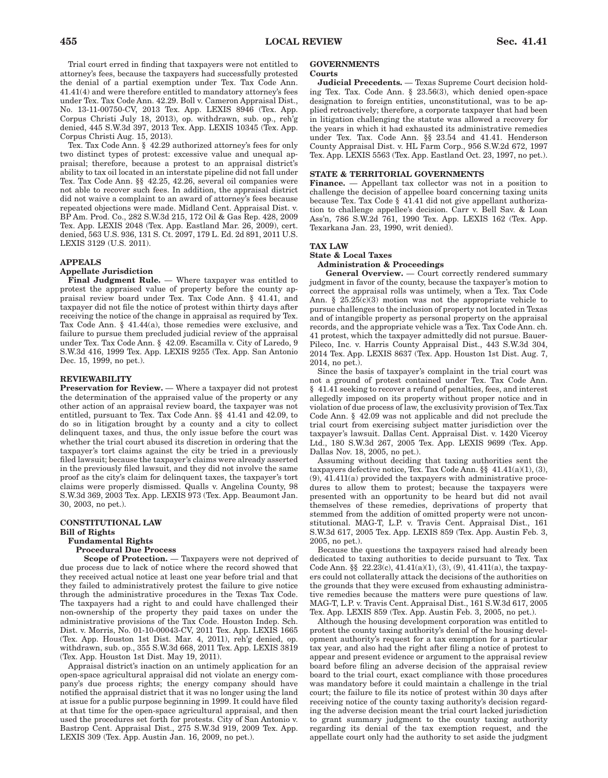Trial court erred in finding that taxpayers were not entitled to attorney's fees, because the taxpayers had successfully protested the denial of a partial exemption under Tex. Tax Code Ann. 41.41(4) and were therefore entitled to mandatory attorney's fees under Tex. Tax Code Ann. 42.29. Boll v. Cameron Appraisal Dist., No. 13-11-00750-CV, 2013 Tex. App. LEXIS 8946 (Tex. App. Corpus Christi July 18, 2013), op. withdrawn, sub. op., reh'g denied, 445 S.W.3d 397, 2013 Tex. App. LEXIS 10345 (Tex. App. Corpus Christi Aug. 15, 2013).

Tex. Tax Code Ann. § 42.29 authorized attorney's fees for only two distinct types of protest: excessive value and unequal appraisal; therefore, because a protest to an appraisal district's ability to tax oil located in an interstate pipeline did not fall under Tex. Tax Code Ann. §§ 42.25, 42.26, several oil companies were not able to recover such fees. In addition, the appraisal district did not waive a complaint to an award of attorney's fees because repeated objections were made. Midland Cent. Appraisal Dist. v. BP Am. Prod. Co., 282 S.W.3d 215, 172 Oil & Gas Rep. 428, 2009 Tex. App. LEXIS 2048 (Tex. App. Eastland Mar. 26, 2009), cert. denied, 563 U.S. 936, 131 S. Ct. 2097, 179 L. Ed. 2d 891, 2011 U.S. LEXIS 3129 (U.S. 2011).

### **APPEALS**

#### **Appellate Jurisdiction**

**Final Judgment Rule.** — Where taxpayer was entitled to protest the appraised value of property before the county appraisal review board under Tex. Tax Code Ann. § 41.41, and taxpayer did not file the notice of protest within thirty days after receiving the notice of the change in appraisal as required by Tex. Tax Code Ann. § 41.44(a), those remedies were exclusive, and failure to pursue them precluded judicial review of the appraisal under Tex. Tax Code Ann. § 42.09. Escamilla v. City of Laredo, 9 S.W.3d 416, 1999 Tex. App. LEXIS 9255 (Tex. App. San Antonio Dec. 15, 1999, no pet.).

## **REVIEWABILITY**

**Preservation for Review.** — Where a taxpayer did not protest the determination of the appraised value of the property or any other action of an appraisal review board, the taxpayer was not entitled, pursuant to Tex. Tax Code Ann. §§ 41.41 and 42.09, to do so in litigation brought by a county and a city to collect delinquent taxes, and thus, the only issue before the court was whether the trial court abused its discretion in ordering that the taxpayer's tort claims against the city be tried in a previously filed lawsuit; because the taxpayer's claims were already asserted in the previously filed lawsuit, and they did not involve the same proof as the city's claim for delinquent taxes, the taxpayer's tort claims were properly dismissed. Qualls v. Angelina County, 98 S.W.3d 369, 2003 Tex. App. LEXIS 973 (Tex. App. Beaumont Jan. 30, 2003, no pet.).

## **CONSTITUTIONAL LAW Bill of Rights Fundamental Rights**

### **Procedural Due Process**

**Scope of Protection.** — Taxpayers were not deprived of due process due to lack of notice where the record showed that they received actual notice at least one year before trial and that they failed to administratively protest the failure to give notice through the administrative procedures in the Texas Tax Code. The taxpayers had a right to and could have challenged their non-ownership of the property they paid taxes on under the administrative provisions of the Tax Code. Houston Indep. Sch. Dist. v. Morris, No. 01-10-00043-CV, 2011 Tex. App. LEXIS 1665 (Tex. App. Houston 1st Dist. Mar. 4, 2011), reh'g denied, op. withdrawn, sub. op., 355 S.W.3d 668, 2011 Tex. App. LEXIS 3819 (Tex. App. Houston 1st Dist. May 19, 2011).

Appraisal district's inaction on an untimely application for an open-space agricultural appraisal did not violate an energy company's due process rights; the energy company should have notified the appraisal district that it was no longer using the land at issue for a public purpose beginning in 1999. It could have filed at that time for the open-space agricultural appraisal, and then used the procedures set forth for protests. City of San Antonio v. Bastrop Cent. Appraisal Dist., 275 S.W.3d 919, 2009 Tex. App. LEXIS 309 (Tex. App. Austin Jan. 16, 2009, no pet.).

# **GOVERNMENTS**

## **Courts**

**Judicial Precedents.** — Texas Supreme Court decision holding Tex. Tax. Code Ann. § 23.56(3), which denied open-space designation to foreign entities, unconstitutional, was to be applied retroactively; therefore, a corporate taxpayer that had been in litigation challenging the statute was allowed a recovery for the years in which it had exhausted its administrative remedies under Tex. Tax. Code Ann. §§ 23.54 and 41.41. Henderson County Appraisal Dist. v. HL Farm Corp., 956 S.W.2d 672, 1997 Tex. App. LEXIS 5563 (Tex. App. Eastland Oct. 23, 1997, no pet.).

## **STATE & TERRITORIAL GOVERNMENTS**

Finance. — Appellant tax collector was not in a position to challenge the decision of appellee board concerning taxing units because Tex. Tax Code § 41.41 did not give appellant authorization to challenge appellee's decision. Carr v. Bell Sav. & Loan Ass'n, 786 S.W.2d 761, 1990 Tex. App. LEXIS 162 (Tex. App. Texarkana Jan. 23, 1990, writ denied).

#### **TAX LAW**

## **State & Local Taxes Administration & Proceedings**

General Overview. — Court correctly rendered summary judgment in favor of the county, because the taxpayer's motion to correct the appraisal rolls was untimely, when a Tex. Tax Code Ann. §  $25.25(c)(3)$  motion was not the appropriate vehicle to pursue challenges to the inclusion of property not located in Texas and of intangible property as personal property on the appraisal records, and the appropriate vehicle was a Tex. Tax Code Ann. ch. 41 protest, which the taxpayer admittedly did not pursue. Bauer-Pileco, Inc. v. Harris County Appraisal Dist., 443 S.W.3d 304, 2014 Tex. App. LEXIS 8637 (Tex. App. Houston 1st Dist. Aug. 7, 2014, no pet.).

Since the basis of taxpayer's complaint in the trial court was not a ground of protest contained under Tex. Tax Code Ann. § 41.41 seeking to recover a refund of penalties, fees, and interest allegedly imposed on its property without proper notice and in violation of due process of law, the exclusivity provision of Tex.Tax Code Ann. § 42.09 was not applicable and did not preclude the trial court from exercising subject matter jurisdiction over the taxpayer's lawsuit. Dallas Cent. Appraisal Dist. v. 1420 Viceroy Ltd., 180 S.W.3d 267, 2005 Tex. App. LEXIS 9699 (Tex. App. Dallas Nov. 18, 2005, no pet.).

Assuming without deciding that taxing authorities sent the taxpayers defective notice, Tex. Tax Code Ann. §§ 41.41(a)(1), (3), (9), 41.411(a) provided the taxpayers with administrative procedures to allow them to protest; because the taxpayers were presented with an opportunity to be heard but did not avail themselves of these remedies, deprivations of property that stemmed from the addition of omitted property were not unconstitutional. MAG-T, L.P. v. Travis Cent. Appraisal Dist., 161 S.W.3d 617, 2005 Tex. App. LEXIS 859 (Tex. App. Austin Feb. 3, 2005, no pet.).

Because the questions the taxpayers raised had already been dedicated to taxing authorities to decide pursuant to Tex. Tax Code Ann. §§ 22.23(c), 41.41(a)(1), (3), (9), 41.411(a), the taxpayers could not collaterally attack the decisions of the authorities on the grounds that they were excused from exhausting administrative remedies because the matters were pure questions of law. MAG-T, L.P. v. Travis Cent. Appraisal Dist., 161 S.W.3d 617, 2005 Tex. App. LEXIS 859 (Tex. App. Austin Feb. 3, 2005, no pet.).

Although the housing development corporation was entitled to protest the county taxing authority's denial of the housing development authority's request for a tax exemption for a particular tax year, and also had the right after filing a notice of protest to appear and present evidence or argument to the appraisal review board before filing an adverse decision of the appraisal review board to the trial court, exact compliance with those procedures was mandatory before it could maintain a challenge in the trial court; the failure to file its notice of protest within 30 days after receiving notice of the county taxing authority's decision regarding the adverse decision meant the trial court lacked jurisdiction to grant summary judgment to the county taxing authority regarding its denial of the tax exemption request, and the appellate court only had the authority to set aside the judgment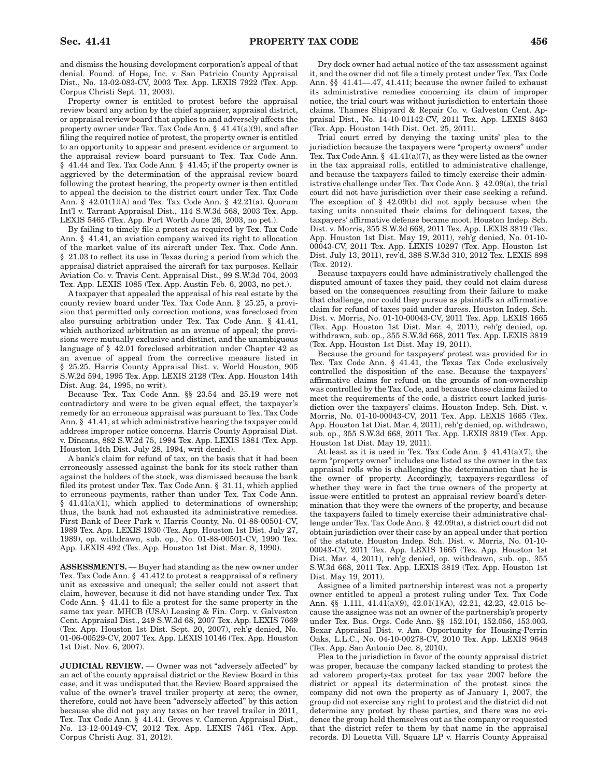and dismiss the housing development corporation's appeal of that denial. Found. of Hope, Inc. v. San Patricio County Appraisal Dist., No. 13-02-083-CV, 2003 Tex. App. LEXIS 7922 (Tex. App. Corpus Christi Sept. 11, 2003).

Property owner is entitled to protest before the appraisal review board any action by the chief appraiser, appraisal district, or appraisal review board that applies to and adversely affects the property owner under Tex. Tax Code Ann. § 41.41(a)(9), and after filing the required notice of protest, the property owner is entitled to an opportunity to appear and present evidence or argument to the appraisal review board pursuant to Tex. Tax Code Ann. § 41.44 and Tex. Tax Code Ann. § 41.45; if the property owner is aggrieved by the determination of the appraisal review board following the protest hearing, the property owner is then entitled to appeal the decision to the district court under Tex. Tax Code Ann. § 42.01(1)(A) and Tex. Tax Code Ann. § 42.21(a). Quorum Int'l v. Tarrant Appraisal Dist., 114 S.W.3d 568, 2003 Tex. App. LEXIS 5465 (Tex. App. Fort Worth June 26, 2003, no pet.).

By failing to timely file a protest as required by Tex. Tax Code Ann. § 41.41, an aviation company waived its right to allocation of the market value of its aircraft under Tex. Tax. Code Ann. § 21.03 to reflect its use in Texas during a period from which the appraisal district appraised the aircraft for tax purposes. Kellair Aviation Co. v. Travis Cent. Appraisal Dist., 99 S.W.3d 704, 2003 Tex. App. LEXIS 1085 (Tex. App. Austin Feb. 6, 2003, no pet.).

A taxpayer that appealed the appraisal of his real estate by the county review board under Tex. Tax Code Ann. § 25.25, a provision that permitted only correction motions, was foreclosed from also pursuing arbitration under Tex. Tax Code Ann. § 41.41, which authorized arbitration as an avenue of appeal; the provisions were mutually exclusive and distinct, and the unambiguous language of § 42.01 foreclosed arbitration under Chapter 42 as an avenue of appeal from the corrective measure listed in § 25.25. Harris County Appraisal Dist. v. World Houston, 905 S.W.2d 594, 1995 Tex. App. LEXIS 2128 (Tex. App. Houston 14th Dist. Aug. 24, 1995, no writ).

Because Tex. Tax Code Ann. §§ 23.54 and 25.19 were not contradictory and were to be given equal effect, the taxpayer's remedy for an erroneous appraisal was pursuant to Tex. Tax Code Ann. § 41.41, at which administrative hearing the taxpayer could address improper notice concerns. Harris County Appraisal Dist. v. Dincans, 882 S.W.2d 75, 1994 Tex. App. LEXIS 1881 (Tex. App. Houston 14th Dist. July 28, 1994, writ denied).

A bank's claim for refund of tax, on the basis that it had been erroneously assessed against the bank for its stock rather than against the holders of the stock, was dismissed because the bank filed its protest under Tex. Tax Code Ann. § 31.11, which applied to erroneous payments, rather than under Tex. Tax Code Ann.  $§$  41.41(a)(1), which applied to determinations of ownership; thus, the bank had not exhausted its administrative remedies. First Bank of Deer Park v. Harris County, No. 01-88-00501-CV, 1989 Tex. App. LEXIS 1930 (Tex. App. Houston 1st Dist. July 27, 1989), op. withdrawn, sub. op., No. 01-88-00501-CV, 1990 Tex. App. LEXIS 492 (Tex. App. Houston 1st Dist. Mar. 8, 1990).

**ASSESSMENTS.** — Buyer had standing as the new owner under Tex. Tax Code Ann. § 41.412 to protest a reappraisal of a refinery unit as excessive and unequal; the seller could not assert that claim, however, because it did not have standing under Tex. Tax Code Ann. § 41.41 to file a protest for the same property in the same tax year. MHCB (USA) Leasing & Fin. Corp. v. Galveston Cent. Appraisal Dist., 249 S.W.3d 68, 2007 Tex. App. LEXIS 7669 (Tex. App. Houston 1st Dist. Sept. 20, 2007), reh'g denied, No. 01-06-00529-CV, 2007 Tex. App. LEXIS 10146 (Tex. App. Houston 1st Dist. Nov. 6, 2007).

**JUDICIAL REVIEW.** — Owner was not "adversely affected" by an act of the county appraisal district or the Review Board in this case, and it was undisputed that the Review Board appraised the value of the owner's travel trailer property at zero; the owner, therefore, could not have been "adversely affected" by this action because she did not pay any taxes on her travel trailer in 2011, Tex. Tax Code Ann. § 41.41. Groves v. Cameron Appraisal Dist., No. 13-12-00149-CV, 2012 Tex. App. LEXIS 7461 (Tex. App. Corpus Christi Aug. 31, 2012).

Dry dock owner had actual notice of the tax assessment against it, and the owner did not file a timely protest under Tex. Tax Code Ann. §§ 41.41—.47, 41.411; because the owner failed to exhaust its administrative remedies concerning its claim of improper notice, the trial court was without jurisdiction to entertain those claims. Thames Shipyard & Repair Co. v. Galveston Cent. Appraisal Dist., No. 14-10-01142-CV, 2011 Tex. App. LEXIS 8463 (Tex. App. Houston 14th Dist. Oct. 25, 2011).

Trial court erred by denying the taxing units' plea to the jurisdiction because the taxpayers were "property owners" under Tex. Tax Code Ann. §  $41.41(a)(7)$ , as they were listed as the owner in the tax appraisal rolls, entitled to administrative challenge, and because the taxpayers failed to timely exercise their administrative challenge under Tex. Tax Code Ann. § 42.09(a), the trial court did not have jurisdiction over their case seeking a refund. The exception of  $\S$  42.09(b) did not apply because when the taxing units nonsuited their claims for delinquent taxes, the taxpayers' affirmative defense became moot. Houston Indep. Sch. Dist. v. Morris, 355 S.W.3d 668, 2011 Tex. App. LEXIS 3819 (Tex. App. Houston 1st Dist. May 19, 2011), reh'g denied, No. 01-10- 00043-CV, 2011 Tex. App. LEXIS 10297 (Tex. App. Houston 1st Dist. July 13, 2011), rev'd, 388 S.W.3d 310, 2012 Tex. LEXIS 898 (Tex. 2012).

Because taxpayers could have administratively challenged the disputed amount of taxes they paid, they could not claim duress based on the consequences resulting from their failure to make that challenge, nor could they pursue as plaintiffs an affirmative claim for refund of taxes paid under duress. Houston Indep. Sch. Dist. v. Morris, No. 01-10-00043-CV, 2011 Tex. App. LEXIS 1665 (Tex. App. Houston 1st Dist. Mar. 4, 2011), reh'g denied, op. withdrawn, sub. op., 355 S.W.3d 668, 2011 Tex. App. LEXIS 3819 (Tex. App. Houston 1st Dist. May 19, 2011).

Because the ground for taxpayers' protest was provided for in Tex. Tax Code Ann. § 41.41, the Texas Tax Code exclusively controlled the disposition of the case. Because the taxpayers' affirmative claims for refund on the grounds of non-ownership was controlled by the Tax Code, and because those claims failed to meet the requirements of the code, a district court lacked jurisdiction over the taxpayers' claims. Houston Indep. Sch. Dist. v. Morris, No. 01-10-00043-CV, 2011 Tex. App. LEXIS 1665 (Tex. App. Houston 1st Dist. Mar. 4, 2011), reh'g denied, op. withdrawn, sub. op., 355 S.W.3d 668, 2011 Tex. App. LEXIS 3819 (Tex. App. Houston 1st Dist. May 19, 2011).

At least as it is used in Tex. Tax Code Ann. § 41.41(a)(7), the term "property owner" includes one listed as the owner in the tax appraisal rolls who is challenging the determination that he is the owner of property. Accordingly, taxpayers-regardless of whether they were in fact the true owners of the property at issue-were entitled to protest an appraisal review board's determination that they were the owners of the property, and because the taxpayers failed to timely exercise their administrative challenge under Tex. Tax Code Ann. § 42.09(a), a district court did not obtain jurisdiction over their case by an appeal under that portion of the statute. Houston Indep. Sch. Dist. v. Morris, No. 01-10- 00043-CV, 2011 Tex. App. LEXIS 1665 (Tex. App. Houston 1st Dist. Mar. 4, 2011), reh'g denied, op. withdrawn, sub. op., 355 S.W.3d 668, 2011 Tex. App. LEXIS 3819 (Tex. App. Houston 1st Dist. May 19, 2011).

Assignee of a limited partnership interest was not a property owner entitled to appeal a protest ruling under Tex. Tax Code Ann. §§ 1.111, 41.41(a)(9), 42.01(1)(A), 42.21, 42.23, 42.015 because the assignee was not an owner of the partnership's property under Tex. Bus. Orgs. Code Ann. §§ 152.101, 152.056, 153.003. Bexar Appraisal Dist. v. Am. Opportunity for Housing-Perrin Oaks, L.L.C., No. 04-10-00278-CV, 2010 Tex. App. LEXIS 9648 (Tex. App. San Antonio Dec. 8, 2010).

Plea to the jurisdiction in favor of the county appraisal district was proper, because the company lacked standing to protest the ad valorem property-tax protest for tax year 2007 before the district or appeal its determination of the protest since the company did not own the property as of January 1, 2007, the group did not exercise any right to protest and the district did not determine any protest by these parties, and there was no evidence the group held themselves out as the company or requested that the district refer to them by that name in the appraisal records. Dl Louetta Vill. Square LP v. Harris County Appraisal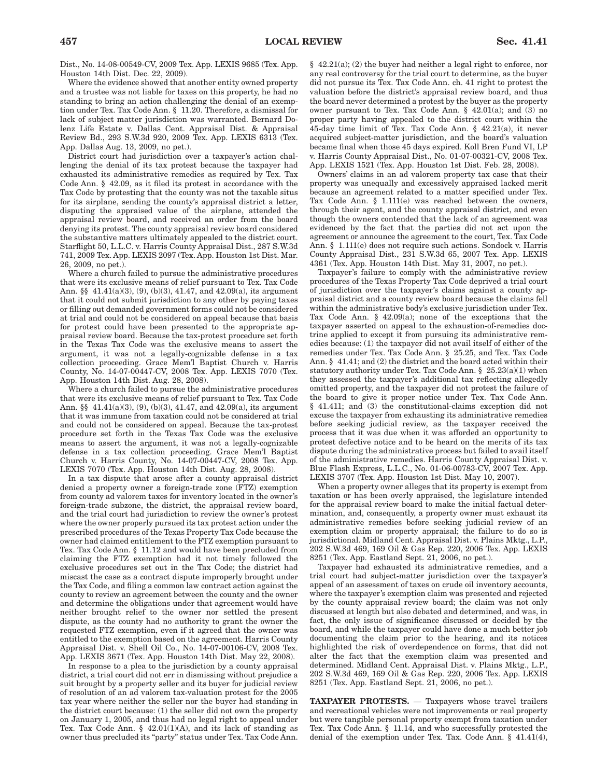Dist., No. 14-08-00549-CV, 2009 Tex. App. LEXIS 9685 (Tex. App. Houston 14th Dist. Dec. 22, 2009).

Where the evidence showed that another entity owned property and a trustee was not liable for taxes on this property, he had no standing to bring an action challenging the denial of an exemption under Tex. Tax Code Ann. § 11.20. Therefore, a dismissal for lack of subject matter jurisdiction was warranted. Bernard Dolenz Life Estate v. Dallas Cent. Appraisal Dist. & Appraisal Review Bd., 293 S.W.3d 920, 2009 Tex. App. LEXIS 6313 (Tex. App. Dallas Aug. 13, 2009, no pet.).

District court had jurisdiction over a taxpayer's action challenging the denial of its tax protest because the taxpayer had exhausted its administrative remedies as required by Tex. Tax Code Ann. § 42.09, as it filed its protest in accordance with the Tax Code by protesting that the county was not the taxable situs for its airplane, sending the county's appraisal district a letter, disputing the appraised value of the airplane, attended the appraisal review board, and received an order from the board denying its protest. The county appraisal review board considered the substantive matters ultimately appealed to the district court. Starflight 50, L.L.C. v. Harris County Appraisal Dist., 287 S.W.3d 741, 2009 Tex. App. LEXIS 2097 (Tex. App. Houston 1st Dist. Mar. 26, 2009, no pet.).

Where a church failed to pursue the administrative procedures that were its exclusive means of relief pursuant to Tex. Tax Code Ann. §§ 41.41(a)(3), (9), (b)(3), 41.47, and 42.09(a), its argument that it could not submit jurisdiction to any other by paying taxes or filling out demanded government forms could not be considered at trial and could not be considered on appeal because that basis for protest could have been presented to the appropriate appraisal review board. Because the tax-protest procedure set forth in the Texas Tax Code was the exclusive means to assert the argument, it was not a legally-cognizable defense in a tax collection proceeding. Grace Mem'l Baptist Church v. Harris County, No. 14-07-00447-CV, 2008 Tex. App. LEXIS 7070 (Tex. App. Houston 14th Dist. Aug. 28, 2008).

Where a church failed to pursue the administrative procedures that were its exclusive means of relief pursuant to Tex. Tax Code Ann. §§ 41.41(a)(3), (9), (b)(3), 41.47, and 42.09(a), its argument that it was immune from taxation could not be considered at trial and could not be considered on appeal. Because the tax-protest procedure set forth in the Texas Tax Code was the exclusive means to assert the argument, it was not a legally-cognizable defense in a tax collection proceeding. Grace Mem'l Baptist Church v. Harris County, No. 14-07-00447-CV, 2008 Tex. App. LEXIS 7070 (Tex. App. Houston 14th Dist. Aug. 28, 2008).

In a tax dispute that arose after a county appraisal district denied a property owner a foreign-trade zone (FTZ) exemption from county ad valorem taxes for inventory located in the owner's foreign-trade subzone, the district, the appraisal review board, and the trial court had jurisdiction to review the owner's protest where the owner properly pursued its tax protest action under the prescribed procedures of the Texas Property Tax Code because the owner had claimed entitlement to the FTZ exemption pursuant to Tex. Tax Code Ann. § 11.12 and would have been precluded from claiming the FTZ exemption had it not timely followed the exclusive procedures set out in the Tax Code; the district had miscast the case as a contract dispute improperly brought under the Tax Code, and filing a common law contract action against the county to review an agreement between the county and the owner and determine the obligations under that agreement would have neither brought relief to the owner nor settled the present dispute, as the county had no authority to grant the owner the requested FTZ exemption, even if it agreed that the owner was entitled to the exemption based on the agreement. Harris County Appraisal Dist. v. Shell Oil Co., No. 14-07-00106-CV, 2008 Tex. App. LEXIS 3671 (Tex. App. Houston 14th Dist. May 22, 2008).

In response to a plea to the jurisdiction by a county appraisal district, a trial court did not err in dismissing without prejudice a suit brought by a property seller and its buyer for judicial review of resolution of an ad valorem tax-valuation protest for the 2005 tax year where neither the seller nor the buyer had standing in the district court because: (1) the seller did not own the property on January 1, 2005, and thus had no legal right to appeal under Tex. Tax Code Ann. § 42.01(1)(A), and its lack of standing as owner thus precluded its "party" status under Tex. Tax Code Ann.

§ 42.21(a); (2) the buyer had neither a legal right to enforce, nor any real controversy for the trial court to determine, as the buyer did not pursue its Tex. Tax Code Ann. ch. 41 right to protest the valuation before the district's appraisal review board, and thus the board never determined a protest by the buyer as the property owner pursuant to Tex. Tax Code Ann. § 42.01(a); and (3) no proper party having appealed to the district court within the 45-day time limit of Tex. Tax Code Ann. § 42.21(a), it never acquired subject-matter jurisdiction, and the board's valuation became final when those 45 days expired. Koll Bren Fund VI, LP v. Harris County Appraisal Dist., No. 01-07-00321-CV, 2008 Tex. App. LEXIS 1521 (Tex. App. Houston 1st Dist. Feb. 28, 2008).

Owners' claims in an ad valorem property tax case that their property was unequally and excessively appraised lacked merit because an agreement related to a matter specified under Tex. Tax Code Ann. § 1.111(e) was reached between the owners, through their agent, and the county appraisal district, and even though the owners contended that the lack of an agreement was evidenced by the fact that the parties did not act upon the agreement or announce the agreement to the court, Tex. Tax Code Ann. § 1.111(e) does not require such actions. Sondock v. Harris County Appraisal Dist., 231 S.W.3d 65, 2007 Tex. App. LEXIS 4361 (Tex. App. Houston 14th Dist. May 31, 2007, no pet.).

Taxpayer's failure to comply with the administrative review procedures of the Texas Property Tax Code deprived a trial court of jurisdiction over the taxpayer's claims against a county appraisal district and a county review board because the claims fell within the administrative body's exclusive jurisdiction under Tex. Tax Code Ann. § 42.09(a); none of the exceptions that the taxpayer asserted on appeal to the exhaustion-of-remedies doctrine applied to except it from pursuing its administrative remedies because: (1) the taxpayer did not avail itself of either of the remedies under Tex. Tax Code Ann. § 25.25, and Tex. Tax Code Ann. § 41.41; and (2) the district and the board acted within their statutory authority under Tex. Tax Code Ann. § 25.23(a)(1) when they assessed the taxpayer's additional tax reflecting allegedly omitted property, and the taxpayer did not protest the failure of the board to give it proper notice under Tex. Tax Code Ann. § 41.411; and (3) the constitutional-claims exception did not excuse the taxpayer from exhausting its administrative remedies before seeking judicial review, as the taxpayer received the process that it was due when it was afforded an opportunity to protest defective notice and to be heard on the merits of its tax dispute during the administrative process but failed to avail itself of the administrative remedies. Harris County Appraisal Dist. v. Blue Flash Express, L.L.C., No. 01-06-00783-CV, 2007 Tex. App. LEXIS 3707 (Tex. App. Houston 1st Dist. May 10, 2007).

When a property owner alleges that its property is exempt from taxation or has been overly appraised, the legislature intended for the appraisal review board to make the initial factual determination, and, consequently, a property owner must exhaust its administrative remedies before seeking judicial review of an exemption claim or property appraisal; the failure to do so is jurisdictional. Midland Cent. Appraisal Dist. v. Plains Mktg., L.P., 202 S.W.3d 469, 169 Oil & Gas Rep. 220, 2006 Tex. App. LEXIS 8251 (Tex. App. Eastland Sept. 21, 2006, no pet.).

Taxpayer had exhausted its administrative remedies, and a trial court had subject-matter jurisdiction over the taxpayer's appeal of an assessment of taxes on crude oil inventory accounts, where the taxpayer's exemption claim was presented and rejected by the county appraisal review board; the claim was not only discussed at length but also debated and determined, and was, in fact, the only issue of significance discussed or decided by the board, and while the taxpayer could have done a much better job documenting the claim prior to the hearing, and its notices highlighted the risk of overdependence on forms, that did not alter the fact that the exemption claim was presented and determined. Midland Cent. Appraisal Dist. v. Plains Mktg., L.P., 202 S.W.3d 469, 169 Oil & Gas Rep. 220, 2006 Tex. App. LEXIS 8251 (Tex. App. Eastland Sept. 21, 2006, no pet.).

**TAXPAYER PROTESTS.** — Taxpayers whose travel trailers and recreational vehicles were not improvements or real property but were tangible personal property exempt from taxation under Tex. Tax Code Ann. § 11.14, and who successfully protested the denial of the exemption under Tex. Tax. Code Ann. § 41.41(4),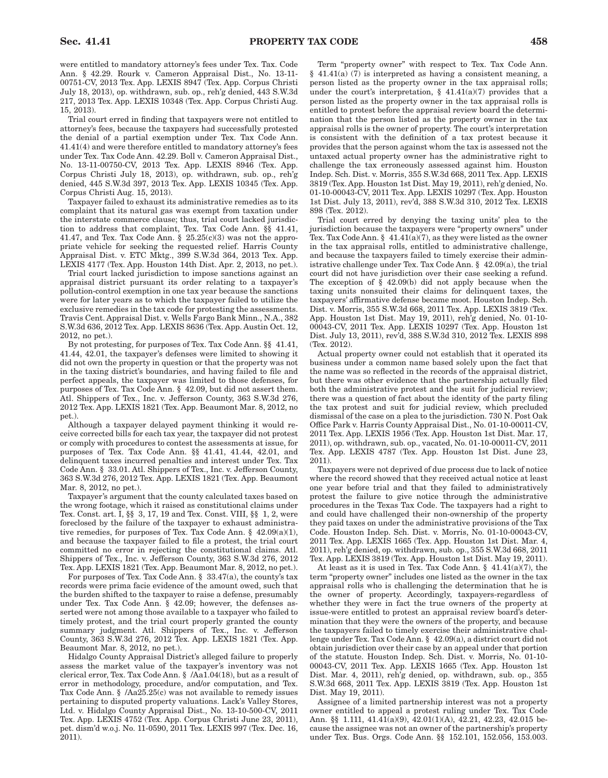were entitled to mandatory attorney's fees under Tex. Tax. Code Ann. § 42.29. Rourk v. Cameron Appraisal Dist., No. 13-11- 00751-CV, 2013 Tex. App. LEXIS 8947 (Tex. App. Corpus Christi July 18, 2013), op. withdrawn, sub. op., reh'g denied, 443 S.W.3d 217, 2013 Tex. App. LEXIS 10348 (Tex. App. Corpus Christi Aug. 15, 2013).

Trial court erred in finding that taxpayers were not entitled to attorney's fees, because the taxpayers had successfully protested the denial of a partial exemption under Tex. Tax Code Ann. 41.41(4) and were therefore entitled to mandatory attorney's fees under Tex. Tax Code Ann. 42.29. Boll v. Cameron Appraisal Dist., No. 13-11-00750-CV, 2013 Tex. App. LEXIS 8946 (Tex. App. Corpus Christi July 18, 2013), op. withdrawn, sub. op., reh'g denied, 445 S.W.3d 397, 2013 Tex. App. LEXIS 10345 (Tex. App. Corpus Christi Aug. 15, 2013).

Taxpayer failed to exhaust its administrative remedies as to its complaint that its natural gas was exempt from taxation under the interstate commerce clause; thus, trial court lacked jurisdiction to address that complaint, Tex. Tax Code Ann. §§ 41.41, 41.47, and Tex. Tax Code Ann.  $\S$  25.25(c)(3) was not the appropriate vehicle for seeking the requested relief. Harris County Appraisal Dist. v. ETC Mktg., 399 S.W.3d 364, 2013 Tex. App. LEXIS 4177 (Tex. App. Houston 14th Dist. Apr. 2, 2013, no pet.).

Trial court lacked jurisdiction to impose sanctions against an appraisal district pursuant its order relating to a taxpayer's pollution-control exemption in one tax year because the sanctions were for later years as to which the taxpayer failed to utilize the exclusive remedies in the tax code for protesting the assessments. Travis Cent. Appraisal Dist. v. Wells Fargo Bank Minn., N.A., 382 S.W.3d 636, 2012 Tex. App. LEXIS 8636 (Tex. App. Austin Oct. 12, 2012, no pet.).

By not protesting, for purposes of Tex. Tax Code Ann. §§ 41.41, 41.44, 42.01, the taxpayer's defenses were limited to showing it did not own the property in question or that the property was not in the taxing district's boundaries, and having failed to file and perfect appeals, the taxpayer was limited to those defenses, for purposes of Tex. Tax Code Ann. § 42.09, but did not assert them. Atl. Shippers of Tex., Inc. v. Jefferson County, 363 S.W.3d 276, 2012 Tex. App. LEXIS 1821 (Tex. App. Beaumont Mar. 8, 2012, no pet.).

Although a taxpayer delayed payment thinking it would receive corrected bills for each tax year, the taxpayer did not protest or comply with procedures to contest the assessments at issue, for purposes of Tex. Tax Code Ann. §§ 41.41, 41.44, 42.01, and delinquent taxes incurred penalties and interest under Tex. Tax Code Ann. § 33.01. Atl. Shippers of Tex., Inc. v. Jefferson County, 363 S.W.3d 276, 2012 Tex. App. LEXIS 1821 (Tex. App. Beaumont Mar. 8, 2012, no pet.).

Taxpayer's argument that the county calculated taxes based on the wrong footage, which it raised as constitutional claims under Tex. Const. art. I, §§ 3, 17, 19 and Tex. Const. VIII, §§ 1, 2, were foreclosed by the failure of the taxpayer to exhaust administrative remedies, for purposes of Tex. Tax Code Ann. § 42.09(a)(1), and because the taxpayer failed to file a protest, the trial court committed no error in rejecting the constitutional claims. Atl. Shippers of Tex., Inc. v. Jefferson County, 363 S.W.3d 276, 2012 Tex. App. LEXIS 1821 (Tex. App. Beaumont Mar. 8, 2012, no pet.).

For purposes of Tex. Tax Code Ann. § 33.47(a), the county's tax records were prima facie evidence of the amount owed, such that the burden shifted to the taxpayer to raise a defense, presumably under Tex. Tax Code Ann. § 42.09; however, the defenses asserted were not among those available to a taxpayer who failed to timely protest, and the trial court properly granted the county summary judgment. Atl. Shippers of Tex., Inc. v. Jefferson County, 363 S.W.3d 276, 2012 Tex. App. LEXIS 1821 (Tex. App. Beaumont Mar. 8, 2012, no pet.).

Hidalgo County Appraisal District's alleged failure to properly assess the market value of the taxpayer's inventory was not clerical error, Tex. Tax Code Ann. § /Aa1.04(18), but as a result of error in methodology, procedure, and/or computation, and Tex. Tax Code Ann. § /Aa25.25(c) was not available to remedy issues pertaining to disputed property valuations. Lack's Valley Stores, Ltd. v. Hidalgo County Appraisal Dist., No. 13-10-500-CV, 2011 Tex. App. LEXIS 4752 (Tex. App. Corpus Christi June 23, 2011), pet. dism'd w.o.j. No. 11-0590, 2011 Tex. LEXIS 997 (Tex. Dec. 16, 2011).

Term "property owner" with respect to Tex. Tax Code Ann. § 41.41(a) (7) is interpreted as having a consistent meaning, a person listed as the property owner in the tax appraisal rolls; under the court's interpretation,  $\S$  41.41(a)(7) provides that a person listed as the property owner in the tax appraisal rolls is entitled to protest before the appraisal review board the determination that the person listed as the property owner in the tax appraisal rolls is the owner of property. The court's interpretation is consistent with the definition of a tax protest because it provides that the person against whom the tax is assessed not the untaxed actual property owner has the administrative right to challenge the tax erroneously assessed against him. Houston Indep. Sch. Dist. v. Morris, 355 S.W.3d 668, 2011 Tex. App. LEXIS 3819 (Tex. App. Houston 1st Dist. May 19, 2011), reh'g denied, No. 01-10-00043-CV, 2011 Tex. App. LEXIS 10297 (Tex. App. Houston 1st Dist. July 13, 2011), rev'd, 388 S.W.3d 310, 2012 Tex. LEXIS 898 (Tex. 2012).

Trial court erred by denying the taxing units' plea to the jurisdiction because the taxpayers were "property owners" under Tex. Tax Code Ann. § 41.41(a)(7), as they were listed as the owner in the tax appraisal rolls, entitled to administrative challenge, and because the taxpayers failed to timely exercise their administrative challenge under Tex. Tax Code Ann. § 42.09(a), the trial court did not have jurisdiction over their case seeking a refund. The exception of § 42.09(b) did not apply because when the taxing units nonsuited their claims for delinquent taxes, the taxpayers' affirmative defense became moot. Houston Indep. Sch. Dist. v. Morris, 355 S.W.3d 668, 2011 Tex. App. LEXIS 3819 (Tex. App. Houston 1st Dist. May 19, 2011), reh'g denied, No. 01-10- 00043-CV, 2011 Tex. App. LEXIS 10297 (Tex. App. Houston 1st Dist. July 13, 2011), rev'd, 388 S.W.3d 310, 2012 Tex. LEXIS 898 (Tex. 2012).

Actual property owner could not establish that it operated its business under a common name based solely upon the fact that the name was so reflected in the records of the appraisal district, but there was other evidence that the partnership actually filed both the administrative protest and the suit for judicial review; there was a question of fact about the identity of the party filing the tax protest and suit for judicial review, which precluded dismissal of the case on a plea to the jurisdiction. 730 N. Post Oak Office Park v. Harris County Appraisal Dist., No. 01-10-00011-CV, 2011 Tex. App. LEXIS 1956 (Tex. App. Houston 1st Dist. Mar. 17, 2011), op. withdrawn, sub. op., vacated, No. 01-10-00011-CV, 2011 Tex. App. LEXIS 4787 (Tex. App. Houston 1st Dist. June 23, 2011).

Taxpayers were not deprived of due process due to lack of notice where the record showed that they received actual notice at least one year before trial and that they failed to administratively protest the failure to give notice through the administrative procedures in the Texas Tax Code. The taxpayers had a right to and could have challenged their non-ownership of the property they paid taxes on under the administrative provisions of the Tax Code. Houston Indep. Sch. Dist. v. Morris, No. 01-10-00043-CV, 2011 Tex. App. LEXIS 1665 (Tex. App. Houston 1st Dist. Mar. 4, 2011), reh'g denied, op. withdrawn, sub. op., 355 S.W.3d 668, 2011 Tex. App. LEXIS 3819 (Tex. App. Houston 1st Dist. May 19, 2011).

At least as it is used in Tex. Tax Code Ann. § 41.41(a)(7), the term "property owner" includes one listed as the owner in the tax appraisal rolls who is challenging the determination that he is the owner of property. Accordingly, taxpayers-regardless of whether they were in fact the true owners of the property at issue-were entitled to protest an appraisal review board's determination that they were the owners of the property, and because the taxpayers failed to timely exercise their administrative challenge under Tex. Tax Code Ann. § 42.09(a), a district court did not obtain jurisdiction over their case by an appeal under that portion of the statute. Houston Indep. Sch. Dist. v. Morris, No. 01-10- 00043-CV, 2011 Tex. App. LEXIS 1665 (Tex. App. Houston 1st Dist. Mar. 4, 2011), reh'g denied, op. withdrawn, sub. op., 355 S.W.3d 668, 2011 Tex. App. LEXIS 3819 (Tex. App. Houston 1st Dist. May 19, 2011).

Assignee of a limited partnership interest was not a property owner entitled to appeal a protest ruling under Tex. Tax Code Ann. §§ 1.111, 41.41(a)(9), 42.01(1)(A), 42.21, 42.23, 42.015 because the assignee was not an owner of the partnership's property under Tex. Bus. Orgs. Code Ann. §§ 152.101, 152.056, 153.003.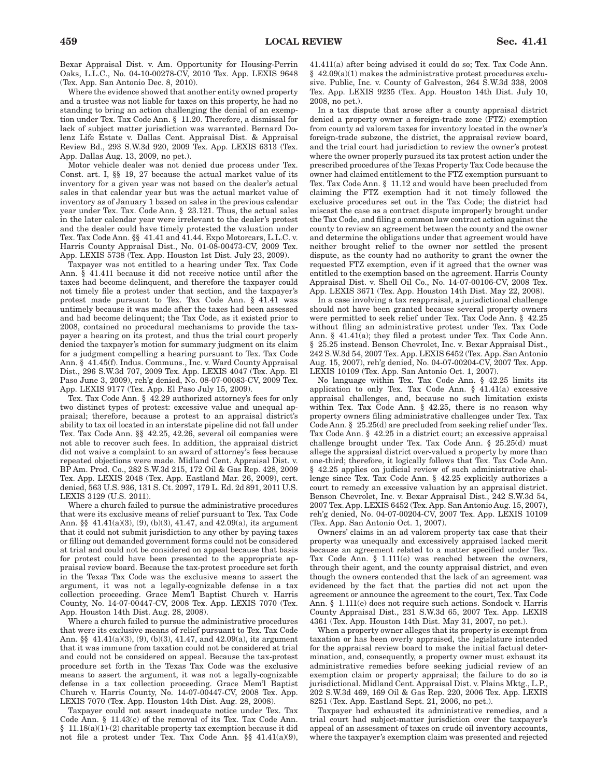Bexar Appraisal Dist. v. Am. Opportunity for Housing-Perrin Oaks, L.L.C., No. 04-10-00278-CV, 2010 Tex. App. LEXIS 9648 (Tex. App. San Antonio Dec. 8, 2010).

Where the evidence showed that another entity owned property and a trustee was not liable for taxes on this property, he had no standing to bring an action challenging the denial of an exemption under Tex. Tax Code Ann. § 11.20. Therefore, a dismissal for lack of subject matter jurisdiction was warranted. Bernard Dolenz Life Estate v. Dallas Cent. Appraisal Dist. & Appraisal Review Bd., 293 S.W.3d 920, 2009 Tex. App. LEXIS 6313 (Tex. App. Dallas Aug. 13, 2009, no pet.).

Motor vehicle dealer was not denied due process under Tex. Const. art. I, §§ 19, 27 because the actual market value of its inventory for a given year was not based on the dealer's actual sales in that calendar year but was the actual market value of inventory as of January 1 based on sales in the previous calendar year under Tex. Tax. Code Ann. § 23.121. Thus, the actual sales in the later calendar year were irrelevant to the dealer's protest and the dealer could have timely protested the valuation under Tex. Tax Code Ann. §§ 41.41 and 41.44. Expo Motorcars, L.L.C. v. Harris County Appraisal Dist., No. 01-08-00473-CV, 2009 Tex. App. LEXIS 5738 (Tex. App. Houston 1st Dist. July 23, 2009).

Taxpayer was not entitled to a hearing under Tex. Tax Code Ann. § 41.411 because it did not receive notice until after the taxes had become delinquent, and therefore the taxpayer could not timely file a protest under that section, and the taxpayer's protest made pursuant to Tex. Tax Code Ann. § 41.41 was untimely because it was made after the taxes had been assessed and had become delinquent; the Tax Code, as it existed prior to 2008, contained no procedural mechanisms to provide the taxpayer a hearing on its protest, and thus the trial court properly denied the taxpayer's motion for summary judgment on its claim for a judgment compelling a hearing pursuant to Tex. Tax Code Ann. § 41.45(f). Indus. Communs., Inc. v. Ward County Appraisal Dist., 296 S.W.3d 707, 2009 Tex. App. LEXIS 4047 (Tex. App. El Paso June 3, 2009), reh'g denied, No. 08-07-00083-CV, 2009 Tex. App. LEXIS 9177 (Tex. App. El Paso July 15, 2009).

Tex. Tax Code Ann. § 42.29 authorized attorney's fees for only two distinct types of protest: excessive value and unequal appraisal; therefore, because a protest to an appraisal district's ability to tax oil located in an interstate pipeline did not fall under Tex. Tax Code Ann. §§ 42.25, 42.26, several oil companies were not able to recover such fees. In addition, the appraisal district did not waive a complaint to an award of attorney's fees because repeated objections were made. Midland Cent. Appraisal Dist. v. BP Am. Prod. Co., 282 S.W.3d 215, 172 Oil & Gas Rep. 428, 2009 Tex. App. LEXIS 2048 (Tex. App. Eastland Mar. 26, 2009), cert. denied, 563 U.S. 936, 131 S. Ct. 2097, 179 L. Ed. 2d 891, 2011 U.S. LEXIS 3129 (U.S. 2011).

Where a church failed to pursue the administrative procedures that were its exclusive means of relief pursuant to Tex. Tax Code Ann. §§ 41.41(a)(3), (9), (b)(3), 41.47, and 42.09(a), its argument that it could not submit jurisdiction to any other by paying taxes or filling out demanded government forms could not be considered at trial and could not be considered on appeal because that basis for protest could have been presented to the appropriate appraisal review board. Because the tax-protest procedure set forth in the Texas Tax Code was the exclusive means to assert the argument, it was not a legally-cognizable defense in a tax collection proceeding. Grace Mem'l Baptist Church v. Harris County, No. 14-07-00447-CV, 2008 Tex. App. LEXIS 7070 (Tex. App. Houston 14th Dist. Aug. 28, 2008).

Where a church failed to pursue the administrative procedures that were its exclusive means of relief pursuant to Tex. Tax Code Ann. §§ 41.41(a)(3), (9), (b)(3), 41.47, and 42.09(a), its argument that it was immune from taxation could not be considered at trial and could not be considered on appeal. Because the tax-protest procedure set forth in the Texas Tax Code was the exclusive means to assert the argument, it was not a legally-cognizable defense in a tax collection proceeding. Grace Mem'l Baptist Church v. Harris County, No. 14-07-00447-CV, 2008 Tex. App. LEXIS 7070 (Tex. App. Houston 14th Dist. Aug. 28, 2008).

Taxpayer could not assert inadequate notice under Tex. Tax Code Ann. § 11.43(c) of the removal of its Tex. Tax Code Ann. § 11.18(a)(1)-(2) charitable property tax exemption because it did not file a protest under Tex. Tax Code Ann. §§ 41.41(a)(9), 41.411(a) after being advised it could do so; Tex. Tax Code Ann. § 42.09(a)(1) makes the administrative protest procedures exclusive. Public, Inc. v. County of Galveston, 264 S.W.3d 338, 2008 Tex. App. LEXIS 9235 (Tex. App. Houston 14th Dist. July 10, 2008, no pet.).

In a tax dispute that arose after a county appraisal district denied a property owner a foreign-trade zone (FTZ) exemption from county ad valorem taxes for inventory located in the owner's foreign-trade subzone, the district, the appraisal review board, and the trial court had jurisdiction to review the owner's protest where the owner properly pursued its tax protest action under the prescribed procedures of the Texas Property Tax Code because the owner had claimed entitlement to the FTZ exemption pursuant to Tex. Tax Code Ann. § 11.12 and would have been precluded from claiming the FTZ exemption had it not timely followed the exclusive procedures set out in the Tax Code; the district had miscast the case as a contract dispute improperly brought under the Tax Code, and filing a common law contract action against the county to review an agreement between the county and the owner and determine the obligations under that agreement would have neither brought relief to the owner nor settled the present dispute, as the county had no authority to grant the owner the requested FTZ exemption, even if it agreed that the owner was entitled to the exemption based on the agreement. Harris County Appraisal Dist. v. Shell Oil Co., No. 14-07-00106-CV, 2008 Tex. App. LEXIS 3671 (Tex. App. Houston 14th Dist. May 22, 2008).

In a case involving a tax reappraisal, a jurisdictional challenge should not have been granted because several property owners were permitted to seek relief under Tex. Tax Code Ann. § 42.25 without filing an administrative protest under Tex. Tax Code Ann. § 41.41(a); they filed a protest under Tex. Tax Code Ann. § 25.25 instead. Benson Chevrolet, Inc. v. Bexar Appraisal Dist., 242 S.W.3d 54, 2007 Tex. App. LEXIS 6452 (Tex. App. San Antonio Aug. 15, 2007), reh'g denied, No. 04-07-00204-CV, 2007 Tex. App. LEXIS 10109 (Tex. App. San Antonio Oct. 1, 2007).

No language within Tex. Tax Code Ann. § 42.25 limits its application to only Tex. Tax Code Ann. § 41.41(a) excessive appraisal challenges, and, because no such limitation exists within Tex. Tax Code Ann. § 42.25, there is no reason why property owners filing administrative challenges under Tex. Tax Code Ann. § 25.25(d) are precluded from seeking relief under Tex. Tax Code Ann. § 42.25 in a district court; an excessive appraisal challenge brought under Tex. Tax Code Ann. § 25.25(d) must allege the appraisal district over-valued a property by more than one-third; therefore, it logically follows that Tex. Tax Code Ann. § 42.25 applies on judicial review of such administrative challenge since Tex. Tax Code Ann. § 42.25 explicitly authorizes a court to remedy an excessive valuation by an appraisal district. Benson Chevrolet, Inc. v. Bexar Appraisal Dist., 242 S.W.3d 54, 2007 Tex. App. LEXIS 6452 (Tex. App. San Antonio Aug. 15, 2007), reh'g denied, No. 04-07-00204-CV, 2007 Tex. App. LEXIS 10109 (Tex. App. San Antonio Oct. 1, 2007).

Owners' claims in an ad valorem property tax case that their property was unequally and excessively appraised lacked merit because an agreement related to a matter specified under Tex. Tax Code Ann. § 1.111(e) was reached between the owners, through their agent, and the county appraisal district, and even though the owners contended that the lack of an agreement was evidenced by the fact that the parties did not act upon the agreement or announce the agreement to the court, Tex. Tax Code Ann. § 1.111(e) does not require such actions. Sondock v. Harris County Appraisal Dist., 231 S.W.3d 65, 2007 Tex. App. LEXIS 4361 (Tex. App. Houston 14th Dist. May 31, 2007, no pet.).

When a property owner alleges that its property is exempt from taxation or has been overly appraised, the legislature intended for the appraisal review board to make the initial factual determination, and, consequently, a property owner must exhaust its administrative remedies before seeking judicial review of an exemption claim or property appraisal; the failure to do so is jurisdictional. Midland Cent. Appraisal Dist. v. Plains Mktg., L.P., 202 S.W.3d 469, 169 Oil & Gas Rep. 220, 2006 Tex. App. LEXIS 8251 (Tex. App. Eastland Sept. 21, 2006, no pet.).

Taxpayer had exhausted its administrative remedies, and a trial court had subject-matter jurisdiction over the taxpayer's appeal of an assessment of taxes on crude oil inventory accounts, where the taxpayer's exemption claim was presented and rejected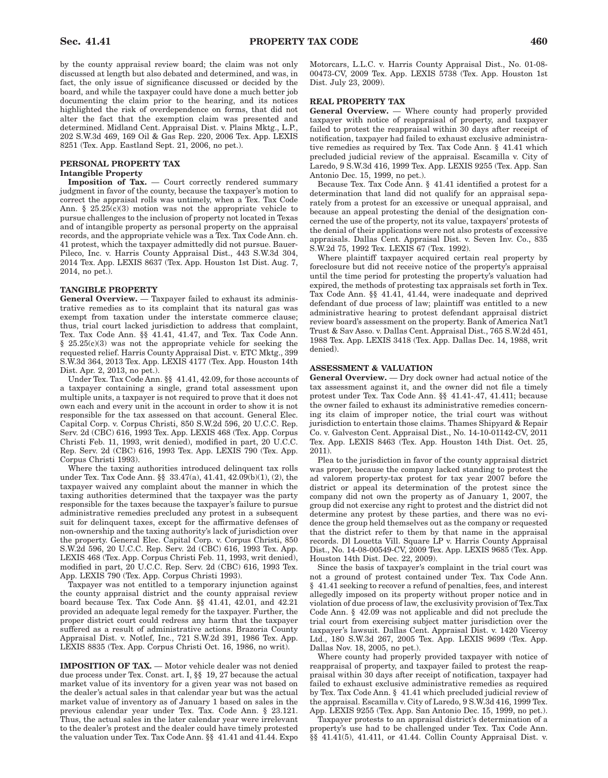by the county appraisal review board; the claim was not only discussed at length but also debated and determined, and was, in fact, the only issue of significance discussed or decided by the board, and while the taxpayer could have done a much better job documenting the claim prior to the hearing, and its notices highlighted the risk of overdependence on forms, that did not alter the fact that the exemption claim was presented and determined. Midland Cent. Appraisal Dist. v. Plains Mktg., L.P., 202 S.W.3d 469, 169 Oil & Gas Rep. 220, 2006 Tex. App. LEXIS 8251 (Tex. App. Eastland Sept. 21, 2006, no pet.).

## **PERSONAL PROPERTY TAX Intangible Property**

**Imposition of Tax.** — Court correctly rendered summary judgment in favor of the county, because the taxpayer's motion to correct the appraisal rolls was untimely, when a Tex. Tax Code Ann. § 25.25(c)(3) motion was not the appropriate vehicle to pursue challenges to the inclusion of property not located in Texas and of intangible property as personal property on the appraisal records, and the appropriate vehicle was a Tex. Tax Code Ann. ch. 41 protest, which the taxpayer admittedly did not pursue. Bauer-Pileco, Inc. v. Harris County Appraisal Dist., 443 S.W.3d 304, 2014 Tex. App. LEXIS 8637 (Tex. App. Houston 1st Dist. Aug. 7, 2014, no pet.).

### **TANGIBLE PROPERTY**

**General Overview.** — Taxpayer failed to exhaust its administrative remedies as to its complaint that its natural gas was exempt from taxation under the interstate commerce clause; thus, trial court lacked jurisdiction to address that complaint, Tex. Tax Code Ann. §§ 41.41, 41.47, and Tex. Tax Code Ann.  $§$  25.25(c)(3) was not the appropriate vehicle for seeking the requested relief. Harris County Appraisal Dist. v. ETC Mktg., 399 S.W.3d 364, 2013 Tex. App. LEXIS 4177 (Tex. App. Houston 14th Dist. Apr. 2, 2013, no pet.).

Under Tex. Tax Code Ann. §§ 41.41, 42.09, for those accounts of a taxpayer containing a single, grand total assessment upon multiple units, a taxpayer is not required to prove that it does not own each and every unit in the account in order to show it is not responsible for the tax assessed on that account. General Elec. Capital Corp. v. Corpus Christi, 850 S.W.2d 596, 20 U.C.C. Rep. Serv. 2d (CBC) 616, 1993 Tex. App. LEXIS 468 (Tex. App. Corpus Christi Feb. 11, 1993, writ denied), modified in part, 20 U.C.C. Rep. Serv. 2d (CBC) 616, 1993 Tex. App. LEXIS 790 (Tex. App. Corpus Christi 1993).

Where the taxing authorities introduced delinquent tax rolls under Tex. Tax Code Ann. §§ 33.47(a), 41.41, 42.09(b)(1), (2), the taxpayer waived any complaint about the manner in which the taxing authorities determined that the taxpayer was the party responsible for the taxes because the taxpayer's failure to pursue administrative remedies precluded any protest in a subsequent suit for delinquent taxes, except for the affirmative defenses of non-ownership and the taxing authority's lack of jurisdiction over the property. General Elec. Capital Corp. v. Corpus Christi, 850 S.W.2d 596, 20 U.C.C. Rep. Serv. 2d (CBC) 616, 1993 Tex. App. LEXIS 468 (Tex. App. Corpus Christi Feb. 11, 1993, writ denied), modified in part, 20 U.C.C. Rep. Serv. 2d (CBC) 616, 1993 Tex. App. LEXIS 790 (Tex. App. Corpus Christi 1993).

Taxpayer was not entitled to a temporary injunction against the county appraisal district and the county appraisal review board because Tex. Tax Code Ann. §§ 41.41, 42.01, and 42.21 provided an adequate legal remedy for the taxpayer. Further, the proper district court could redress any harm that the taxpayer suffered as a result of administrative actions. Brazoria County Appraisal Dist. v. Notlef, Inc., 721 S.W.2d 391, 1986 Tex. App. LEXIS 8835 (Tex. App. Corpus Christi Oct. 16, 1986, no writ).

**IMPOSITION OF TAX.** — Motor vehicle dealer was not denied due process under Tex. Const. art. I, §§ 19, 27 because the actual market value of its inventory for a given year was not based on the dealer's actual sales in that calendar year but was the actual market value of inventory as of January 1 based on sales in the previous calendar year under Tex. Tax. Code Ann. § 23.121. Thus, the actual sales in the later calendar year were irrelevant to the dealer's protest and the dealer could have timely protested the valuation under Tex. Tax Code Ann. §§ 41.41 and 41.44. Expo Motorcars, L.L.C. v. Harris County Appraisal Dist., No. 01-08- 00473-CV, 2009 Tex. App. LEXIS 5738 (Tex. App. Houston 1st Dist. July 23, 2009).

## **REAL PROPERTY TAX**

**General Overview.** — Where county had properly provided taxpayer with notice of reappraisal of property, and taxpayer failed to protest the reappraisal within 30 days after receipt of notification, taxpayer had failed to exhaust exclusive administrative remedies as required by Tex. Tax Code Ann. § 41.41 which precluded judicial review of the appraisal. Escamilla v. City of Laredo, 9 S.W.3d 416, 1999 Tex. App. LEXIS 9255 (Tex. App. San Antonio Dec. 15, 1999, no pet.).

Because Tex. Tax Code Ann. § 41.41 identified a protest for a determination that land did not qualify for an appraisal separately from a protest for an excessive or unequal appraisal, and because an appeal protesting the denial of the designation concerned the use of the property, not its value, taxpayers' protests of the denial of their applications were not also protests of excessive appraisals. Dallas Cent. Appraisal Dist. v. Seven Inv. Co., 835 S.W.2d 75, 1992 Tex. LEXIS 67 (Tex. 1992).

Where plaintiff taxpayer acquired certain real property by foreclosure but did not receive notice of the property's appraisal until the time period for protesting the property's valuation had expired, the methods of protesting tax appraisals set forth in Tex. Tax Code Ann. §§ 41.41, 41.44, were inadequate and deprived defendant of due process of law; plaintiff was entitled to a new administrative hearing to protest defendant appraisal district review board's assessment on the property. Bank of America Nat'l Trust & Sav Asso. v. Dallas Cent. Appraisal Dist., 765 S.W.2d 451, 1988 Tex. App. LEXIS 3418 (Tex. App. Dallas Dec. 14, 1988, writ denied).

## **ASSESSMENT & VALUATION**

**General Overview.** — Dry dock owner had actual notice of the tax assessment against it, and the owner did not file a timely protest under Tex. Tax Code Ann. §§ 41.41-.47, 41.411; because the owner failed to exhaust its administrative remedies concerning its claim of improper notice, the trial court was without jurisdiction to entertain those claims. Thames Shipyard & Repair Co. v. Galveston Cent. Appraisal Dist., No. 14-10-01142-CV, 2011 Tex. App. LEXIS 8463 (Tex. App. Houston 14th Dist. Oct. 25, 2011).

Plea to the jurisdiction in favor of the county appraisal district was proper, because the company lacked standing to protest the ad valorem property-tax protest for tax year 2007 before the district or appeal its determination of the protest since the company did not own the property as of January 1, 2007, the group did not exercise any right to protest and the district did not determine any protest by these parties, and there was no evidence the group held themselves out as the company or requested that the district refer to them by that name in the appraisal records. Dl Louetta Vill. Square LP v. Harris County Appraisal Dist., No. 14-08-00549-CV, 2009 Tex. App. LEXIS 9685 (Tex. App. Houston 14th Dist. Dec. 22, 2009).

Since the basis of taxpayer's complaint in the trial court was not a ground of protest contained under Tex. Tax Code Ann. § 41.41 seeking to recover a refund of penalties, fees, and interest allegedly imposed on its property without proper notice and in violation of due process of law, the exclusivity provision of Tex.Tax Code Ann. § 42.09 was not applicable and did not preclude the trial court from exercising subject matter jurisdiction over the taxpayer's lawsuit. Dallas Cent. Appraisal Dist. v. 1420 Viceroy Ltd., 180 S.W.3d 267, 2005 Tex. App. LEXIS 9699 (Tex. App. Dallas Nov. 18, 2005, no pet.).

Where county had properly provided taxpayer with notice of reappraisal of property, and taxpayer failed to protest the reappraisal within 30 days after receipt of notification, taxpayer had failed to exhaust exclusive administrative remedies as required by Tex. Tax Code Ann. § 41.41 which precluded judicial review of the appraisal. Escamilla v. City of Laredo, 9 S.W.3d 416, 1999 Tex. App. LEXIS 9255 (Tex. App. San Antonio Dec. 15, 1999, no pet.).

Taxpayer protests to an appraisal district's determination of a property's use had to be challenged under Tex. Tax Code Ann. §§ 41.41(5), 41.411, or 41.44. Collin County Appraisal Dist. v.